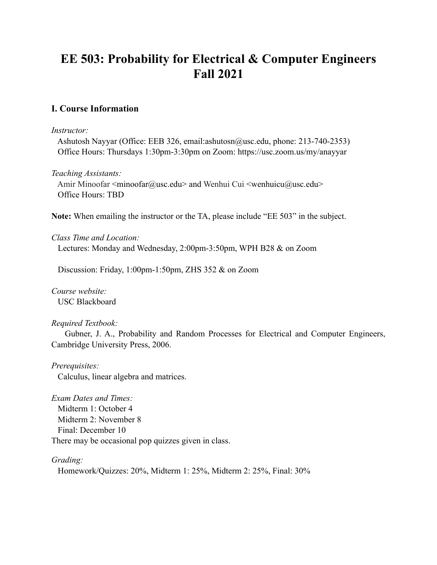# **EE 503: Probability for Electrical & Computer Engineers Fall 2021**

# **I. Course Information**

#### *Instructor:*

 Ashutosh Nayyar (Office: EEB 326, email:ashutosn@usc.edu, phone: 213-740-2353) Office Hours: Thursdays 1:30pm-3:30pm on Zoom: https://usc.zoom.us/my/anayyar

## *Teaching Assistants:*

Amir Minoofar <minoofar@usc.edu> and Wenhui Cui <wenhuicu@usc.edu> Office Hours: TBD

**Note:** When emailing the instructor or the TA, please include "EE 503" in the subject.

## *Class Time and Location:*

Lectures: Monday and Wednesday, 2:00pm-3:50pm, WPH B28 & on Zoom

Discussion: Friday, 1:00pm-1:50pm, ZHS 352 & on Zoom

*Course website:*  USC Blackboard

## *Required Textbook:*

 Gubner, J. A., Probability and Random Processes for Electrical and Computer Engineers, Cambridge University Press, 2006.

#### *Prerequisites:*

Calculus, linear algebra and matrices.

*Exam Dates and Times:*  Midterm 1: October 4 Midterm 2: November 8 Final: December 10 There may be occasional pop quizzes given in class.

#### *Grading:*

Homework/Quizzes: 20%, Midterm 1: 25%, Midterm 2: 25%, Final: 30%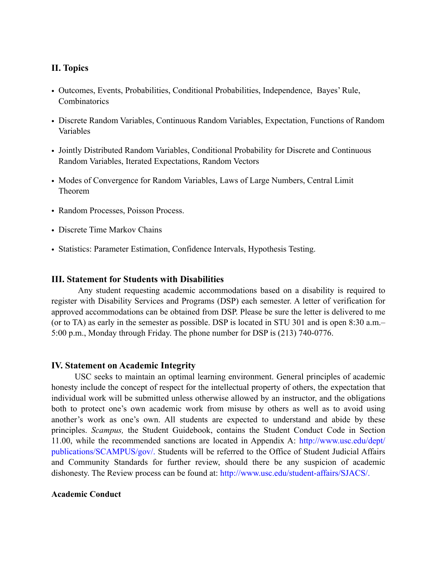# **II. Topics**

- Outcomes, Events, Probabilities, Conditional Probabilities, Independence, Bayes' Rule, **Combinatorics**
- Discrete Random Variables, Continuous Random Variables, Expectation, Functions of Random Variables
- Jointly Distributed Random Variables, Conditional Probability for Discrete and Continuous Random Variables, Iterated Expectations, Random Vectors
- Modes of Convergence for Random Variables, Laws of Large Numbers, Central Limit Theorem
- Random Processes, Poisson Process.
- Discrete Time Markov Chains
- Statistics: Parameter Estimation, Confidence Intervals, Hypothesis Testing.

#### **III. Statement for Students with Disabilities**

Any student requesting academic accommodations based on a disability is required to register with Disability Services and Programs (DSP) each semester. A letter of verification for approved accommodations can be obtained from DSP. Please be sure the letter is delivered to me (or to TA) as early in the semester as possible. DSP is located in STU 301 and is open 8:30 a.m.– 5:00 p.m., Monday through Friday. The phone number for DSP is (213) 740-0776.

#### **IV. Statement on Academic Integrity**

USC seeks to maintain an optimal learning environment. General principles of academic honesty include the concept of respect for the intellectual property of others, the expectation that individual work will be submitted unless otherwise allowed by an instructor, and the obligations both to protect one's own academic work from misuse by others as well as to avoid using another's work as one's own. All students are expected to understand and abide by these principles. *Scampus,* the Student Guidebook, contains the Student Conduct Code in Section 11.00, while the recommended sanctions are located in Appendix A: http://www.usc.edu/dept/ publications/SCAMPUS/gov/. Students will be referred to the Office of Student Judicial Affairs and Community Standards for further review, should there be any suspicion of academic dishonesty. The Review process can be found at: http://www.usc.edu/student-affairs/SJACS/.

#### **Academic Conduct**